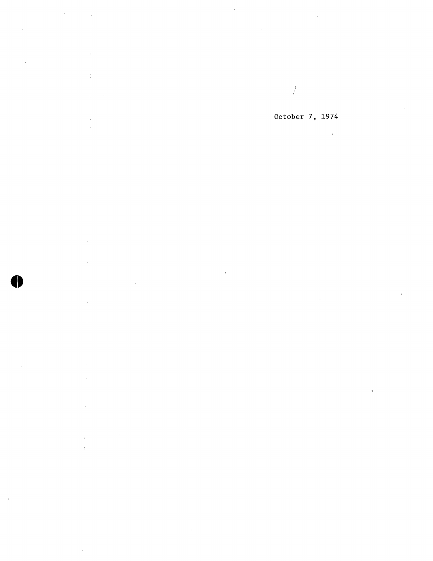$\frac{1}{n}$ 

 $\hat{\boldsymbol{\theta}}$ 

 $\bar{z}$ 

 $\mathcal{L}$ 

 $\mathcal{L}$ 

 $\bullet$ 

 $\bar{z}$  $\tilde{\gamma}$ 

 $\mathcal{L}$ 

 $\frac{1}{\epsilon}$ 

## October 7, 1974

 $\ddot{\phantom{a}}$ 

 $\hat{\mathcal{A}}$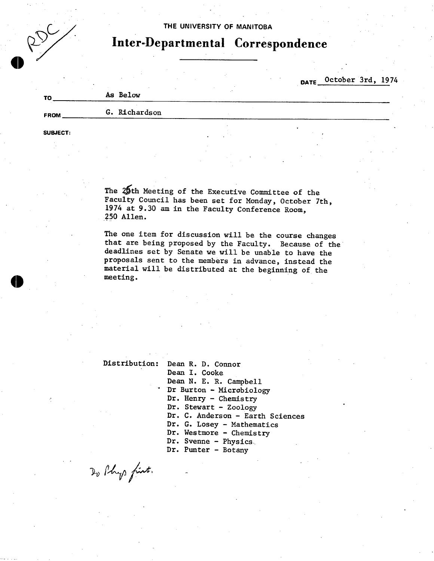# $R_{\rm p}^{\rm p}$

#### **THE UNIVERSITY OF MANITOBA**

## **Inter-Departmental Correspondence**

**DATE** \_October 3rd, 1974

| τc          | As Below      |  |
|-------------|---------------|--|
| <b>FROM</b> | G. Richardson |  |

**SUBJECT:** 

The  $25$ th Meeting of the Executive Committee of the Faculty Council has been set for Monday, October 7th, 1974 at 9.30 am in the Faculty Conference Room, 250 Allen.

The one item for discussion will be the course changes that are being proposed by the Faculty. Because of the deadlines set by Senate we will be unable to have the proposals sent to the members in advance, instead the material will be distributed at the beginning of the meeting.

Distribution: Dean R. D. Connor

Dean I. Cooke Dean N. E. R. Campbell Dr Burton - Microbiology Dr. Henry - Chemistry Dr. Stewart - Zoology Dr. C. Anderson - Earth Sciences Dr. G. Losey - Mathematics Dr. Westmore - Chemistry Dr. Svenne - Physics. Dr. Punter - Botany

Do Phys first.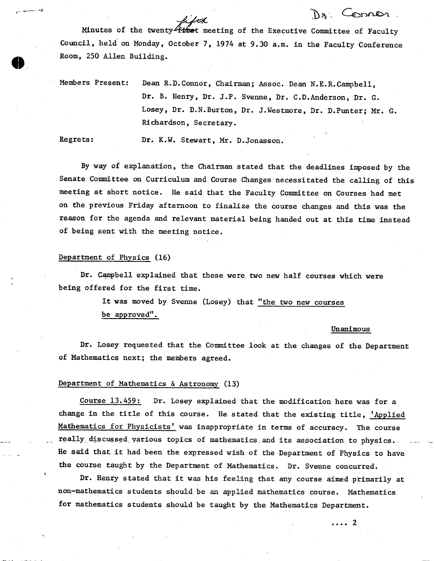Minutes of the twenty  $\mu/\mathcal{A}$ <br>Minutes of the twenty fixet meeting of the Executive Committee of Faculty Council, held on Monday, October 7, 1974 at 9.30 a.m. in the Faculty Conference Room, 250 Allen Building.

Members Present: Dean R.D.Connor, Chairman; Assoc. Dean N.E.R.Campbell, Dr. B. Henry, Dr. J.P. Svenne, Dr. C.D.Anderson, Dr. G. Losey, Dr. D.N.Burton, Dr. J.Westmore, Dr. D.Punter; Mr. G. Richardson, Secretary.

Regrets: Dr. K.W. Stewart, Mr. D.Jonasson.

By way of explanation, the Chairman stated that the deadlines imposed by the Senate Committee on Curriculum and Course Changes necessitated the calling of this meeting at short notice. He said that the Faculty Committee on Courses had met on the previous Friday afternoon to finalize the course changes and this was the reason for the agenda and relevant material being handed out at this time instead of being sent with the meeting notice.

#### Department of Physics (16)

Dr. Campbell explained that these were two new half courses which were being offered for the first time.

> It was moved by Svenne (Losey) that "the two new courses be approved".

> > Unanimous

De Connor

Dr. Losey requested that the Committee look at the changes of the Department of Mathematics next; the members agreed.

#### Department of Mathematics & Astronomy (13)

Course 13.459: Dr. Losey explained that the modification here was for a change in the title of this course. He stated that the existing title, 'Applied Mathematics for Physicists' was inappropriate in terms of accuracy. The course really discussed various topics of mathematics. and its association to physics. - He said that it had been the expressed wish of the Department of Physics to have the course taught by the Department of Mathematics. Dr. Svenne concurred.

Dr. Henry stated that it was his feeling that any course aimed primarily at non-mathematics students should be an applied mathematics course. Mathematics for mathematics students should be taught by the Mathematics Department.

. . . . 2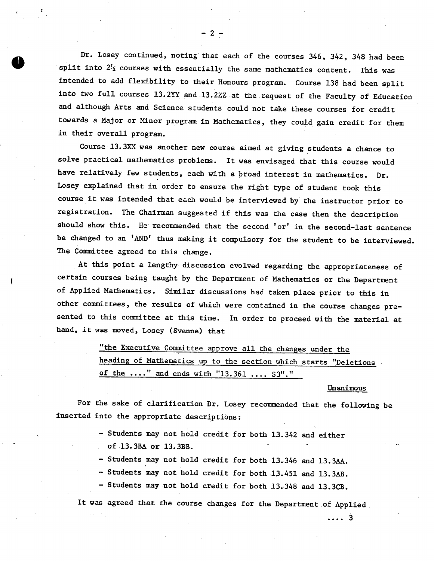Dr. Losey continued, noting that each of the courses 346, 342, 348 had been split into  $2\frac{1}{2}$  courses with essentially the same mathematics content. This was intended to add flexibility to their Honours program. Course 138 had been split into two full courses 13.2YY and 13.2ZZ at the request of the Faculty of Education and although Arts and Science students could not take these courses for credit towards a Major or Minor program in Mathematics, they could gain credit for them in their overall program.

Course 13. 3XX was another new course aimed at giving students a chance to solve practical mathematics problems. It was envisaged that this course would have relatively few students, each with a broad interest in mathematics. Dr. Losey explained that in order to ensure the right type of student took this course it was intended that each would be interviewed by the instructor prior to registration. The Chairman suggested if this was the case then the description should show this. He recommended that the second 'or' in the second-last sentence be changed to an 'AND' thus making it compulsory for the student to be interviewed. The Committee agreed to this change.

At this point a lengthy discussion evolved regarding the appropriateness of certain courses being taught by the Department of Mathematics or the Department of Applied Mathematics. Similar discussions had taken place prior to this in other committees, the results of which were contained in the course changes presented to this committee at this time. In order to proceed with the material at hand, it was moved, Losey (Svenne) that

> "the Executive Committee approve all the changes under the heading of Mathematics up to the section which starts "Deletions of the ...." and ends with "13.361 .... S3"."

#### Unanimous

- .... 3

For the sake of clarification Dr. Losey recommended that the following be inserted into the appropriate descriptions:

- Students may not hold credit for both 13.342 and either of 13.3BA or 13.3BB.
- Students may not hold credit for both 13.346 and 13.3AA.
- Students may not hold credit for both 13.451 and 13.3AB.
- Students may not hold credit for both 13.348 and 13.3CB.

It was agreed that the course changes for the Department of Applied

-

-2-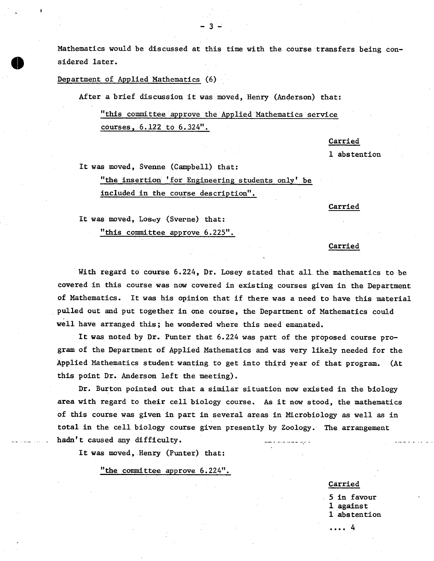Mathematics would be discussed at this time with the course transfers being considered later.

Department of Applied Mathematics (6)

n

After a brief discussion it was moved, Henry (Anderson) that:

-3-

"this committee approve the Applied Mathematics service courses, 6.122 to 6.324".

Carried

1 abstention

It was moved, Svenne (Campbell) that:

"the insertion 'for Engineering students only' be included in the course description".

Carried

It was moved, Losey (Sverne) that:

"this committee approve 6.225".

### Carried

With regard to course 6.224, Dr. Losey stated that all the mathematics to be covered in this course was now covered in existing courses given in the Department of Mathematics. It was his opinion that if there was a need to have this material pulled out and put together in one course, the Department of Mathematics could well have arranged this; he wondered where this need emanated.

It was noted by Dr. Punter that 6.224 was part of the proposed course program of the Department of Applied Mathematics and was very likely needed for the Applied Mathematics student wanting to get into third year of that program. (At this point Dr. Anderson left the meeting).

Dr. Burton pointed out that a similar situation now existed in the biology area with regard to their cell biology course. As it now stood, the mathematics of this course was given in part in several areas in Microbiology as well as in total in the cell biology course given presently by Zoology. The arrangement hadn't caused any difficulty.

It was moved, Henry (Punter) that:

"the committee approve 6.224".

Carried

.... 4

5 in favour 1 against 1 abstention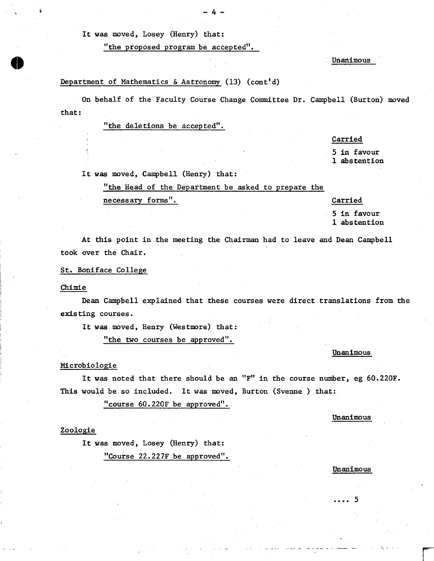It was moved, Losey (Henry) that:

"the proposed program be accepted".

Unanimous

#### Department of Mathematics & Astronomy (13) (cont'd)

On behalf of the Faculty Course Change Committee Dr. Campbell (Burton) moved that:

"the deletions be accepted".

#### **Carried**

**5 in** favour 1 abstention

It was moved, Campbell (Henry) that:

"the Head of the Department be asked to prepare the

necessary forms". Carried

5 in favour 1 abstention

At this point in the meeting the Chairman had to leave and Dean Campbell took over the Chair.

St. Boniface College

#### Chimie

**0** 

Dean Campbell explained that these courses were direct translations from the existing courses.

It was moved, Henry (Westmore) that:

"the two courses be approved".

#### Unanimous

#### Nicrobiologie

It was noted that there should be an "F" in the course number, eg 60.220F. This would be so included. It was moved, Burton (Svenne ) that:

"course 60.220F be approved".

Unanimous

#### Zoologie

It was moved, Losey (Henry) that: "Course 22.227F be approved".

Unanimous

5

#### $\mathbf{A}$